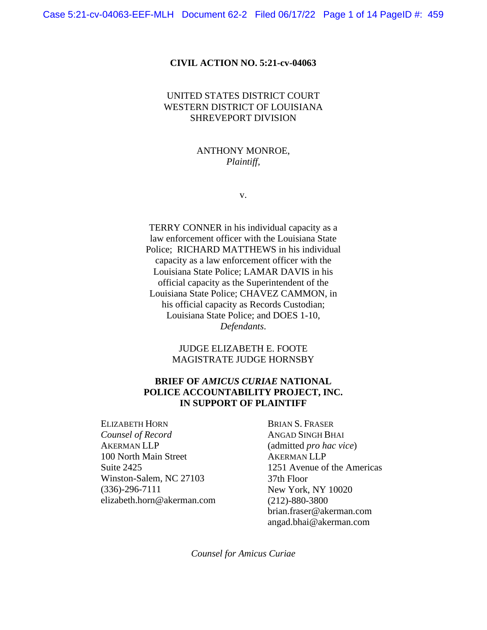#### **CIVIL ACTION NO. 5:21-cv-04063**

## UNITED STATES DISTRICT COURT WESTERN DISTRICT OF LOUISIANA SHREVEPORT DIVISION

## ANTHONY MONROE, *Plaintiff,*

v.

TERRY CONNER in his individual capacity as a law enforcement officer with the Louisiana State Police; RICHARD MATTHEWS in his individual capacity as a law enforcement officer with the Louisiana State Police; LAMAR DAVIS in his official capacity as the Superintendent of the Louisiana State Police; CHAVEZ CAMMON, in his official capacity as Records Custodian; Louisiana State Police; and DOES 1-10, *Defendants*.

## JUDGE ELIZABETH E. FOOTE MAGISTRATE JUDGE HORNSBY

## **BRIEF OF** *AMICUS CURIAE* **NATIONAL POLICE ACCOUNTABILITY PROJECT, INC. IN SUPPORT OF PLAINTIFF**

ELIZABETH HORN *Counsel of Record*  AKERMAN LLP 100 North Main Street Suite 2425 Winston-Salem, NC 27103 (336)-296-7111 elizabeth.horn@akerman.com

BRIAN S. FRASER ANGAD SINGH BHAI (admitted *pro hac vice*) AKERMAN LLP 1251 Avenue of the Americas 37th Floor New York, NY 10020 (212)-880-3800 brian.fraser@akerman.com angad.bhai@akerman.com

*Counsel for Amicus Curiae*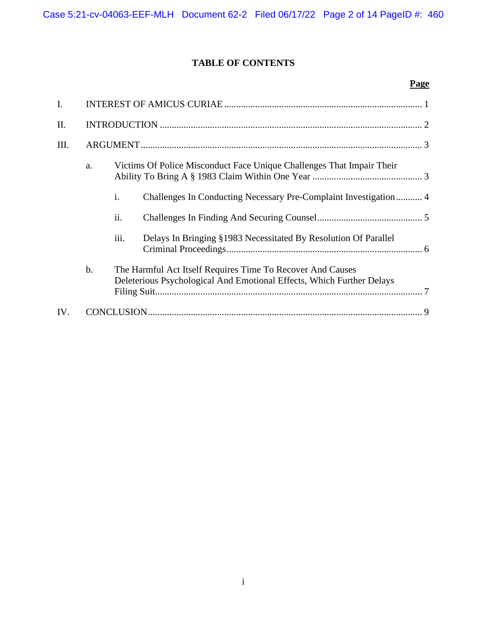# **TABLE OF CONTENTS**

# **Page**

| I.  |    |                                                                                                                                     |                                                                  |  |  |
|-----|----|-------------------------------------------------------------------------------------------------------------------------------------|------------------------------------------------------------------|--|--|
| Π.  |    |                                                                                                                                     |                                                                  |  |  |
| Ш.  |    |                                                                                                                                     |                                                                  |  |  |
|     | a. | Victims Of Police Misconduct Face Unique Challenges That Impair Their                                                               |                                                                  |  |  |
|     |    | i.                                                                                                                                  | Challenges In Conducting Necessary Pre-Complaint Investigation 4 |  |  |
|     |    | ii.                                                                                                                                 |                                                                  |  |  |
|     |    | iii.                                                                                                                                | Delays In Bringing §1983 Necessitated By Resolution Of Parallel  |  |  |
|     | b. | The Harmful Act Itself Requires Time To Recover And Causes<br>Deleterious Psychological And Emotional Effects, Which Further Delays |                                                                  |  |  |
| IV. |    |                                                                                                                                     |                                                                  |  |  |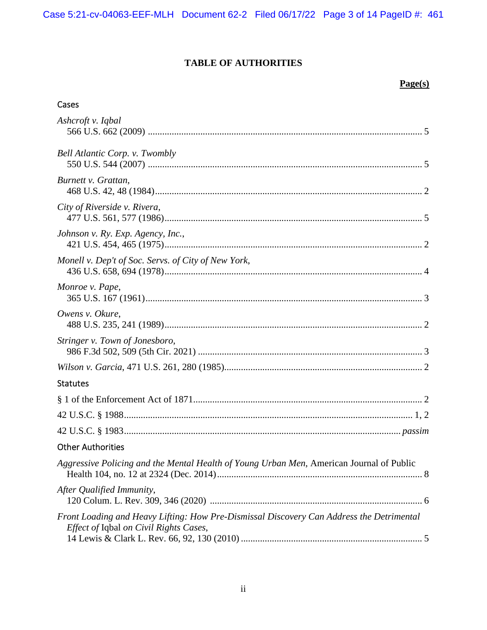# **TABLE OF AUTHORITIES**

# **Page(s)**

# Cases

| Ashcroft v. Iqbal                                                                                                                  |
|------------------------------------------------------------------------------------------------------------------------------------|
| Bell Atlantic Corp. v. Twombly                                                                                                     |
| Burnett v. Grattan,                                                                                                                |
| City of Riverside v. Rivera,                                                                                                       |
| Johnson v. Ry. Exp. Agency, Inc.,                                                                                                  |
| Monell v. Dep't of Soc. Servs. of City of New York,                                                                                |
| Monroe v. Pape,                                                                                                                    |
| Owens v. Okure,                                                                                                                    |
| Stringer v. Town of Jonesboro,                                                                                                     |
|                                                                                                                                    |
| <b>Statutes</b>                                                                                                                    |
|                                                                                                                                    |
|                                                                                                                                    |
|                                                                                                                                    |
| <b>Other Authorities</b>                                                                                                           |
| Aggressive Policing and the Mental Health of Young Urban Men, American Journal of Public                                           |
| After Qualified Immunity,                                                                                                          |
| Front Loading and Heavy Lifting: How Pre-Dismissal Discovery Can Address the Detrimental<br>Effect of Iqbal on Civil Rights Cases, |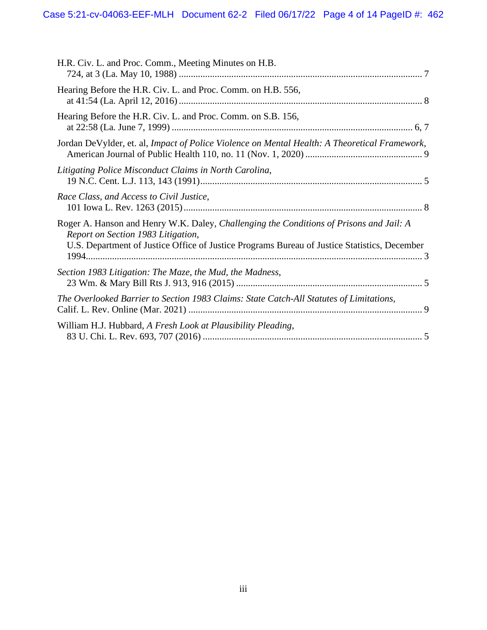| H.R. Civ. L. and Proc. Comm., Meeting Minutes on H.B.                                                                                                                                                                         |  |
|-------------------------------------------------------------------------------------------------------------------------------------------------------------------------------------------------------------------------------|--|
| Hearing Before the H.R. Civ. L. and Proc. Comm. on H.B. 556,                                                                                                                                                                  |  |
| Hearing Before the H.R. Civ. L. and Proc. Comm. on S.B. 156,                                                                                                                                                                  |  |
| Jordan DeVylder, et. al, Impact of Police Violence on Mental Health: A Theoretical Framework,                                                                                                                                 |  |
| Litigating Police Misconduct Claims in North Carolina,                                                                                                                                                                        |  |
| Race Class, and Access to Civil Justice,                                                                                                                                                                                      |  |
| Roger A. Hanson and Henry W.K. Daley, Challenging the Conditions of Prisons and Jail: A<br>Report on Section 1983 Litigation,<br>U.S. Department of Justice Office of Justice Programs Bureau of Justice Statistics, December |  |
| Section 1983 Litigation: The Maze, the Mud, the Madness,                                                                                                                                                                      |  |
| The Overlooked Barrier to Section 1983 Claims: State Catch-All Statutes of Limitations,                                                                                                                                       |  |
| William H.J. Hubbard, A Fresh Look at Plausibility Pleading,                                                                                                                                                                  |  |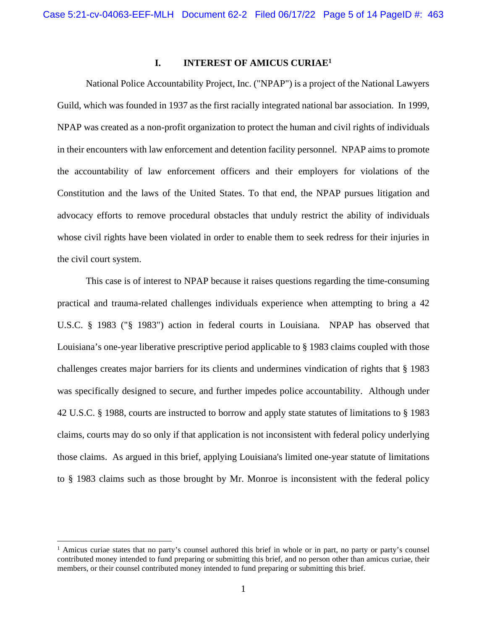## <span id="page-4-0"></span>**I. INTEREST OF AMICUS CURIAE[1](#page-4-1)**

National Police Accountability Project, Inc. ("NPAP") is a project of the National Lawyers Guild, which was founded in 1937 as the first racially integrated national bar association. In 1999, NPAP was created as a non-profit organization to protect the human and civil rights of individuals in their encounters with law enforcement and detention facility personnel. NPAP aims to promote the accountability of law enforcement officers and their employers for violations of the Constitution and the laws of the United States. To that end, the NPAP pursues litigation and advocacy efforts to remove procedural obstacles that unduly restrict the ability of individuals whose civil rights have been violated in order to enable them to seek redress for their injuries in the civil court system.

This case is of interest to NPAP because it raises questions regarding the time-consuming practical and trauma-related challenges individuals experience when attempting to bring a 42 U.S.C. § 1983 ("§ 1983") action in federal courts in Louisiana. NPAP has observed that Louisiana's one-year liberative prescriptive period applicable to § 1983 claims coupled with those challenges creates major barriers for its clients and undermines vindication of rights that § 1983 was specifically designed to secure, and further impedes police accountability. Although under 42 U.S.C. § 1988, courts are instructed to borrow and apply state statutes of limitations to § 1983 claims, courts may do so only if that application is not inconsistent with federal policy underlying those claims. As argued in this brief, applying Louisiana's limited one-year statute of limitations to § 1983 claims such as those brought by Mr. Monroe is inconsistent with the federal policy

<span id="page-4-1"></span><sup>&</sup>lt;sup>1</sup> Amicus curiae states that no party's counsel authored this brief in whole or in part, no party or party's counsel contributed money intended to fund preparing or submitting this brief, and no person other than amicus curiae, their members, or their counsel contributed money intended to fund preparing or submitting this brief.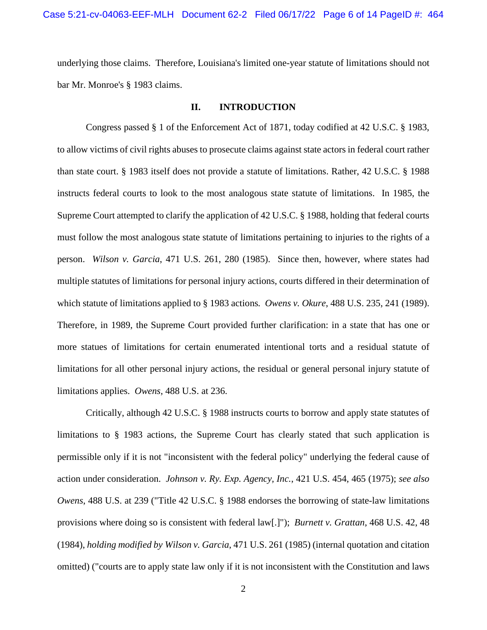underlying those claims. Therefore, Louisiana's limited one-year statute of limitations should not bar Mr. Monroe's § 1983 claims.

### <span id="page-5-0"></span>**II. INTRODUCTION**

Congress passed § 1 of the Enforcement Act of 1871, today codified at 42 U.S.C. § 1983, to allow victims of civil rights abuses to prosecute claims against state actors in federal court rather than state court. § 1983 itself does not provide a statute of limitations. Rather, 42 U.S.C. § 1988 instructs federal courts to look to the most analogous state statute of limitations. In 1985, the Supreme Court attempted to clarify the application of 42 U.S.C. § 1988, holding that federal courts must follow the most analogous state statute of limitations pertaining to injuries to the rights of a person. *Wilson v. Garcia*, 471 U.S. 261, 280 (1985). Since then, however, where states had multiple statutes of limitations for personal injury actions, courts differed in their determination of which statute of limitations applied to § 1983 actions*. Owens v. Okure*, 488 U.S. 235, 241 (1989). Therefore, in 1989, the Supreme Court provided further clarification: in a state that has one or more statues of limitations for certain enumerated intentional torts and a residual statute of limitations for all other personal injury actions, the residual or general personal injury statute of limitations applies. *Owens*, 488 U.S. at 236.

Critically, although 42 U.S.C. § 1988 instructs courts to borrow and apply state statutes of limitations to § 1983 actions, the Supreme Court has clearly stated that such application is permissible only if it is not "inconsistent with the federal policy" underlying the federal cause of action under consideration. *Johnson v. Ry. Exp. Agency, Inc.*, 421 U.S. 454, 465 (1975); *see also Owens*, 488 U.S. at 239 ("Title 42 U.S.C. § 1988 endorses the borrowing of state-law limitations provisions where doing so is consistent with federal law[.]"); *Burnett v. Grattan*, 468 U.S. 42, 48 (1984), *holding modified by Wilson v. Garcia*, 471 U.S. 261 (1985) (internal quotation and citation omitted) ("courts are to apply state law only if it is not inconsistent with the Constitution and laws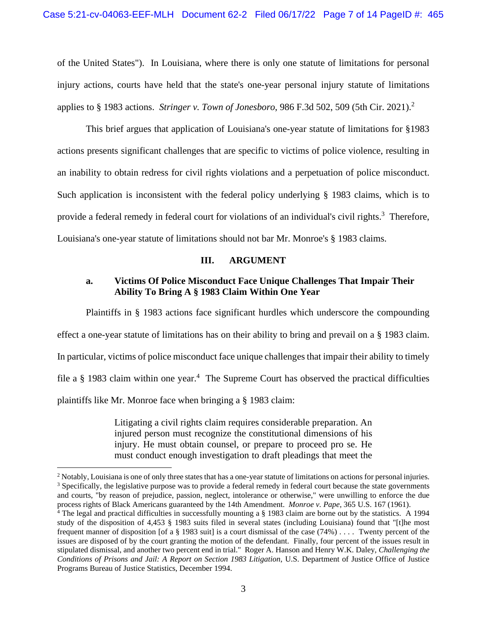of the United States"). In Louisiana, where there is only one statute of limitations for personal injury actions, courts have held that the state's one-year personal injury statute of limitations applies to § 1983 actions. *Stringer v. Town of Jonesboro*, 986 F.3d 502, 509 (5th Cir. 2021).[2](#page-6-2)

This brief argues that application of Louisiana's one-year statute of limitations for §1983 actions presents significant challenges that are specific to victims of police violence, resulting in an inability to obtain redress for civil rights violations and a perpetuation of police misconduct. Such application is inconsistent with the federal policy underlying § 1983 claims, which is to provide a federal remedy in federal court for violations of an individual's civil rights.<sup>[3](#page-6-3)</sup> Therefore, Louisiana's one-year statute of limitations should not bar Mr. Monroe's § 1983 claims.

### <span id="page-6-0"></span>**III. ARGUMENT**

# <span id="page-6-1"></span>**a. Victims Of Police Misconduct Face Unique Challenges That Impair Their Ability To Bring A § 1983 Claim Within One Year**

Plaintiffs in § 1983 actions face significant hurdles which underscore the compounding

effect a one-year statute of limitations has on their ability to bring and prevail on a § 1983 claim.

In particular, victims of police misconduct face unique challenges that impair their ability to timely

file a  $\S$  1983 claim within one year.<sup>[4](#page-6-4)</sup> The Supreme Court has observed the practical difficulties

plaintiffs like Mr. Monroe face when bringing a § 1983 claim:

Litigating a civil rights claim requires considerable preparation. An injured person must recognize the constitutional dimensions of his injury. He must obtain counsel, or prepare to proceed pro se. He must conduct enough investigation to draft pleadings that meet the

<span id="page-6-3"></span><span id="page-6-2"></span><sup>&</sup>lt;sup>2</sup> Notably, Louisiana is one of only three states that has a one-year statute of limitations on actions for personal injuries. <sup>3</sup> Specifically, the legislative purpose was to provide a federal remedy in federal court because the state governments and courts, "by reason of prejudice, passion, neglect, intolerance or otherwise," were unwilling to enforce the due process rights of Black Americans guaranteed by the 14th Amendment. *Monroe v. Pape*, 365 U.S. 167 (1961).

<span id="page-6-4"></span><sup>4</sup> The legal and practical difficulties in successfully mounting a § 1983 claim are borne out by the statistics. A 1994 study of the disposition of 4,453 § 1983 suits filed in several states (including Louisiana) found that "[t]he most frequent manner of disposition [of a  $\S$  1983 suit] is a court dismissal of the case (74%) . . . . Twenty percent of the issues are disposed of by the court granting the motion of the defendant. Finally, four percent of the issues result in stipulated dismissal, and another two percent end in trial." Roger A. Hanson and Henry W.K. Daley*, Challenging the Conditions of Prisons and Jail: A Report on Section 1983 Litigation*, U.S. Department of Justice Office of Justice Programs Bureau of Justice Statistics, December 1994.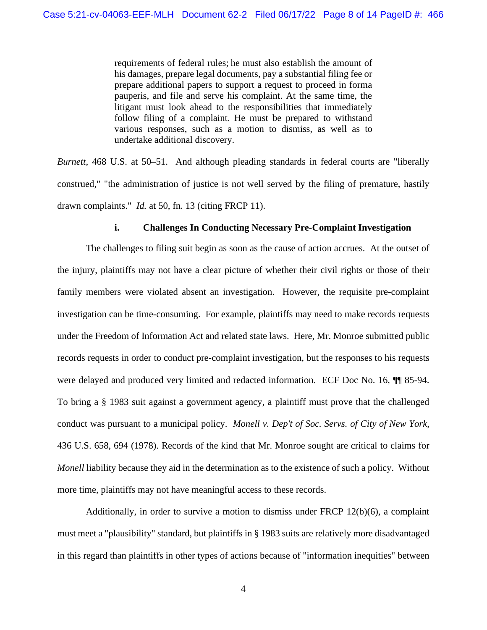requirements of federal rules; he must also establish the amount of his damages, prepare legal documents, pay a substantial filing fee or prepare additional papers to support a request to proceed in forma pauperis, and file and serve his complaint. At the same time, the litigant must look ahead to the responsibilities that immediately follow filing of a complaint. He must be prepared to withstand various responses, such as a motion to dismiss, as well as to undertake additional discovery.

*Burnett*, 468 U.S. at 50–51. And although pleading standards in federal courts are "liberally construed," "the administration of justice is not well served by the filing of premature, hastily drawn complaints." *Id.* at 50, fn. 13 (citing FRCP 11).

### <span id="page-7-0"></span>**i. Challenges In Conducting Necessary Pre-Complaint Investigation**

The challenges to filing suit begin as soon as the cause of action accrues. At the outset of the injury, plaintiffs may not have a clear picture of whether their civil rights or those of their family members were violated absent an investigation. However, the requisite pre-complaint investigation can be time-consuming. For example, plaintiffs may need to make records requests under the Freedom of Information Act and related state laws. Here, Mr. Monroe submitted public records requests in order to conduct pre-complaint investigation, but the responses to his requests were delayed and produced very limited and redacted information. ECF Doc No. 16, ¶¶ 85-94. To bring a § 1983 suit against a government agency, a plaintiff must prove that the challenged conduct was pursuant to a municipal policy. *Monell v. Dep't of Soc. Servs. of City of New York*, 436 U.S. 658, 694 (1978). Records of the kind that Mr. Monroe sought are critical to claims for *Monell* liability because they aid in the determination as to the existence of such a policy. Without more time, plaintiffs may not have meaningful access to these records.

Additionally, in order to survive a motion to dismiss under FRCP 12(b)(6), a complaint must meet a "plausibility" standard, but plaintiffs in § 1983 suits are relatively more disadvantaged in this regard than plaintiffs in other types of actions because of "information inequities" between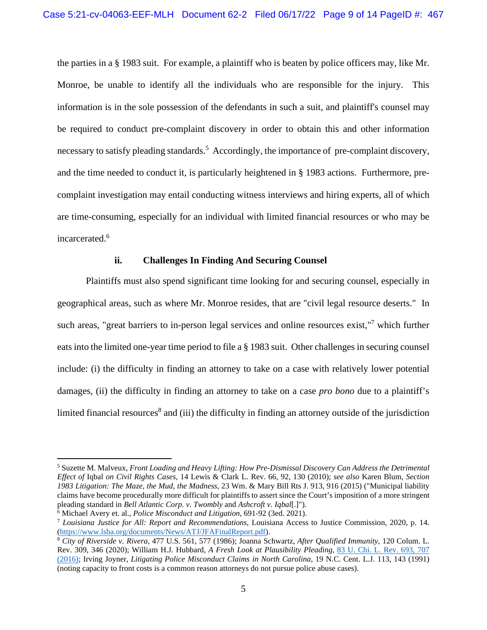the parties in a § 1983 suit. For example, a plaintiff who is beaten by police officers may, like Mr. Monroe, be unable to identify all the individuals who are responsible for the injury. This information is in the sole possession of the defendants in such a suit, and plaintiff's counsel may be required to conduct pre-complaint discovery in order to obtain this and other information necessary to satisfy pleading standards.<sup>[5](#page-8-1)</sup> Accordingly, the importance of pre-complaint discovery, and the time needed to conduct it, is particularly heightened in § 1983 actions. Furthermore, precomplaint investigation may entail conducting witness interviews and hiring experts, all of which are time-consuming, especially for an individual with limited financial resources or who may be incarcerated.<sup>[6](#page-8-2)</sup>

## <span id="page-8-0"></span>**ii. Challenges In Finding And Securing Counsel**

Plaintiffs must also spend significant time looking for and securing counsel, especially in geographical areas, such as where Mr. Monroe resides, that are "civil legal resource deserts." In such areas, "great barriers to in-person legal services and online resources exist,"[7](#page-8-3) which further eats into the limited one-year time period to file a § 1983 suit. Other challenges in securing counsel include: (i) the difficulty in finding an attorney to take on a case with relatively lower potential damages, (ii) the difficulty in finding an attorney to take on a case *pro bono* due to a plaintiff's limited financial resources<sup>[8](#page-8-4)</sup> and (iii) the difficulty in finding an attorney outside of the jurisdiction

<span id="page-8-1"></span><sup>5</sup> Suzette M. Malveux, *Front Loading and Heavy Lifting: How Pre-Dismissal Discovery Can Address the Detrimental Effect of* Iqbal *on Civil Rights Cases*, 14 Lewis & Clark L. Rev. 66, 92, 130 (2010); *see also* Karen Blum, *Section 1983 Litigation: The Maze, the Mud, the Madness*, 23 Wm. & Mary Bill Rts J. 913, 916 (2015) ("Municipal liability claims have become procedurally more difficult for plaintiffs to assert since the Court's imposition of a more stringent pleading standard in *Bell Atlantic Corp. v. Twombly* and *Ashcroft v. Iqbal*[.]").

<span id="page-8-3"></span><span id="page-8-2"></span><sup>6</sup> Michael Avery et. al., *Police Misconduct and Litigation*, 691-92 (3ed. 2021).

<sup>7</sup> *Louisiana Justice for All: Report and Recommendations*, Louisiana Access to Justice Commission, 2020, p. 14. (https://www.lsba.org/documents/News/ATJ/JFAFinalReport.pdf).

<span id="page-8-4"></span><sup>8</sup> *City of Riverside v. Rivera*, 477 U.S. 561, 577 (1986); Joanna Schwartz, *After Qualified Immunity*, 120 Colum. L. Rev. 309, 346 (2020); William H.J. Hubbard, *A Fresh Look at Plausibility Pleading*, 83 U. Chi. L. Rev. 693, 707 (2016); Irving Joyner, *Litigating Police Misconduct Claims in North Carolina*, 19 N.C. Cent. L.J. 113, 143 (1991) (noting capacity to front costs is a common reason attorneys do not pursue police abuse cases).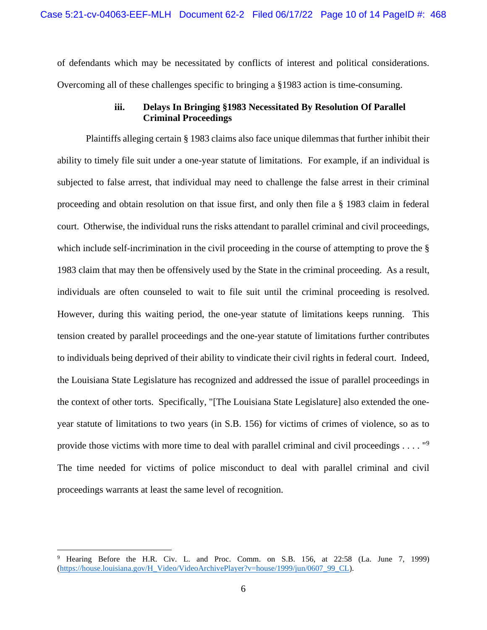of defendants which may be necessitated by conflicts of interest and political considerations. Overcoming all of these challenges specific to bringing a §1983 action is time-consuming.

# <span id="page-9-0"></span>**iii. Delays In Bringing §1983 Necessitated By Resolution Of Parallel Criminal Proceedings**

Plaintiffs alleging certain § 1983 claims also face unique dilemmas that further inhibit their ability to timely file suit under a one-year statute of limitations. For example, if an individual is subjected to false arrest, that individual may need to challenge the false arrest in their criminal proceeding and obtain resolution on that issue first, and only then file a § 1983 claim in federal court. Otherwise, the individual runs the risks attendant to parallel criminal and civil proceedings, which include self-incrimination in the civil proceeding in the course of attempting to prove the § 1983 claim that may then be offensively used by the State in the criminal proceeding. As a result, individuals are often counseled to wait to file suit until the criminal proceeding is resolved. However, during this waiting period, the one-year statute of limitations keeps running. This tension created by parallel proceedings and the one-year statute of limitations further contributes to individuals being deprived of their ability to vindicate their civil rights in federal court. Indeed, the Louisiana State Legislature has recognized and addressed the issue of parallel proceedings in the context of other torts. Specifically, "[The Louisiana State Legislature] also extended the oneyear statute of limitations to two years (in S.B. 156) for victims of crimes of violence, so as to provide those victims with more time to deal with parallel criminal and civil proceedings . . . . "[9](#page-9-1) The time needed for victims of police misconduct to deal with parallel criminal and civil proceedings warrants at least the same level of recognition.

<span id="page-9-1"></span><sup>9</sup> Hearing Before the H.R. Civ. L. and Proc. Comm. on S.B. 156, at 22:58 (La. June 7, 1999) (https://house.louisiana.gov/H\_Video/VideoArchivePlayer?v=house/1999/jun/0607\_99\_CL).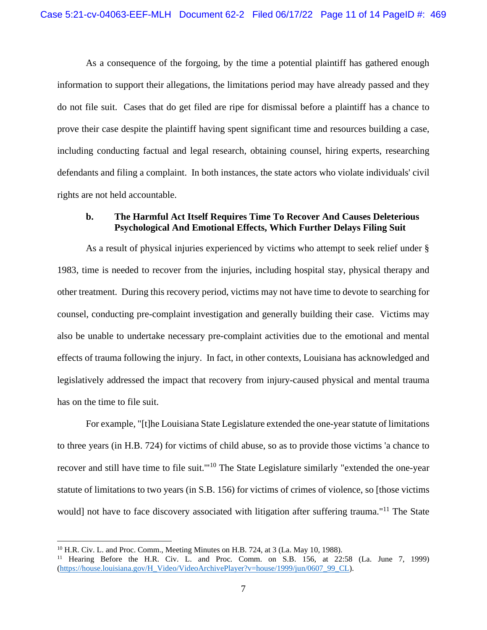As a consequence of the forgoing, by the time a potential plaintiff has gathered enough information to support their allegations, the limitations period may have already passed and they do not file suit. Cases that do get filed are ripe for dismissal before a plaintiff has a chance to prove their case despite the plaintiff having spent significant time and resources building a case, including conducting factual and legal research, obtaining counsel, hiring experts, researching defendants and filing a complaint. In both instances, the state actors who violate individuals' civil rights are not held accountable.

## <span id="page-10-0"></span>**b. The Harmful Act Itself Requires Time To Recover And Causes Deleterious Psychological And Emotional Effects, Which Further Delays Filing Suit**

As a result of physical injuries experienced by victims who attempt to seek relief under § 1983, time is needed to recover from the injuries, including hospital stay, physical therapy and other treatment. During this recovery period, victims may not have time to devote to searching for counsel, conducting pre-complaint investigation and generally building their case. Victims may also be unable to undertake necessary pre-complaint activities due to the emotional and mental effects of trauma following the injury. In fact, in other contexts, Louisiana has acknowledged and legislatively addressed the impact that recovery from injury-caused physical and mental trauma has on the time to file suit.

For example, "[t]he Louisiana State Legislature extended the one-year statute of limitations to three years (in H.B. 724) for victims of child abuse, so as to provide those victims 'a chance to recover and still have time to file suit."<sup>[10](#page-10-1)</sup> The State Legislature similarly "extended the one-year statute of limitations to two years (in S.B. 156) for victims of crimes of violence, so [those victims would] not have to face discovery associated with litigation after suffering trauma."<sup>[11](#page-10-2)</sup> The State

<span id="page-10-2"></span><span id="page-10-1"></span> $10$  H.R. Civ. L. and Proc. Comm., Meeting Minutes on H.B. 724, at 3 (La. May 10, 1988).

<sup>&</sup>lt;sup>11</sup> Hearing Before the H.R. Civ. L. and Proc. Comm. on S.B. 156, at 22:58 (La. June 7, 1999) (https://house.louisiana.gov/H\_Video/VideoArchivePlayer?v=house/1999/jun/0607\_99\_CL).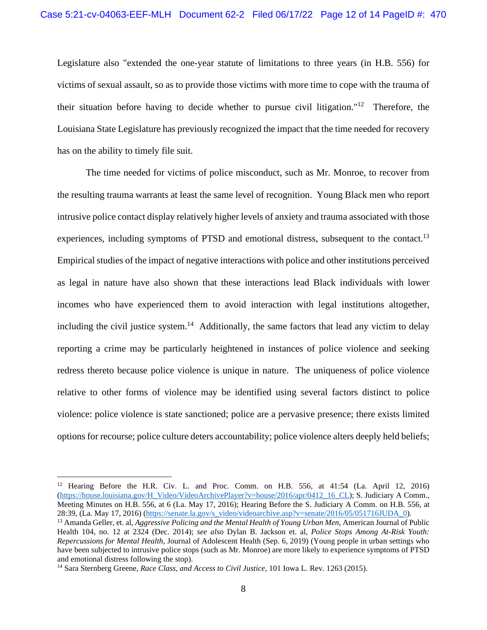Legislature also "extended the one-year statute of limitations to three years (in H.B. 556) for victims of sexual assault, so as to provide those victims with more time to cope with the trauma of their situation before having to decide whether to pursue civil litigation."<sup>[12](#page-11-0)</sup> Therefore, the Louisiana State Legislature has previously recognized the impact that the time needed for recovery has on the ability to timely file suit.

The time needed for victims of police misconduct, such as Mr. Monroe, to recover from the resulting trauma warrants at least the same level of recognition. Young Black men who report intrusive police contact display relatively higher levels of anxiety and trauma associated with those experiences, including symptoms of PTSD and emotional distress, subsequent to the contact.<sup>[13](#page-11-1)</sup> Empirical studies of the impact of negative interactions with police and other institutions perceived as legal in nature have also shown that these interactions lead Black individuals with lower incomes who have experienced them to avoid interaction with legal institutions altogether, including the civil justice system.<sup>[14](#page-11-2)</sup> Additionally, the same factors that lead any victim to delay reporting a crime may be particularly heightened in instances of police violence and seeking redress thereto because police violence is unique in nature. The uniqueness of police violence relative to other forms of violence may be identified using several factors distinct to police violence: police violence is state sanctioned; police are a pervasive presence; there exists limited options for recourse; police culture deters accountability; police violence alters deeply held beliefs;

<span id="page-11-0"></span><sup>&</sup>lt;sup>12</sup> Hearing Before the H.R. Civ. L. and Proc. Comm. on H.B. 556, at 41:54 (La. April 12, 2016) (https://house.louisiana.gov/H\_Video/VideoArchivePlayer?v=house/2016/apr/0412\_16\_CL); S. Judiciary A Comm., Meeting Minutes on H.B. 556, at 6 (La. May 17, 2016); Hearing Before the S. Judiciary A Comm. on H.B. 556, at 28:39, (La. May 17, 2016) (https://senate.la.gov/s\_video/videoarchive.asp?v=senate/2016/05/051716JUDA\_0).

<span id="page-11-1"></span><sup>13</sup> Amanda Geller, et. al, *Aggressive Policing and the Mental Health of Young Urban Men*, American Journal of Public Health 104, no. 12 at 2324 (Dec. 2014); *see also* Dylan B. Jackson et. al, *Police Stops Among At-Risk Youth: Repercussions for Mental Health*, Journal of Adolescent Health (Sep. 6, 2019) (Young people in urban settings who have been subjected to intrusive police stops (such as Mr. Monroe) are more likely to experience symptoms of PTSD and emotional distress following the stop).

<span id="page-11-2"></span><sup>14</sup> Sara Sternberg Greene, *Race Class, and Access to Civil Justice*, 101 Iowa L. Rev. 1263 (2015).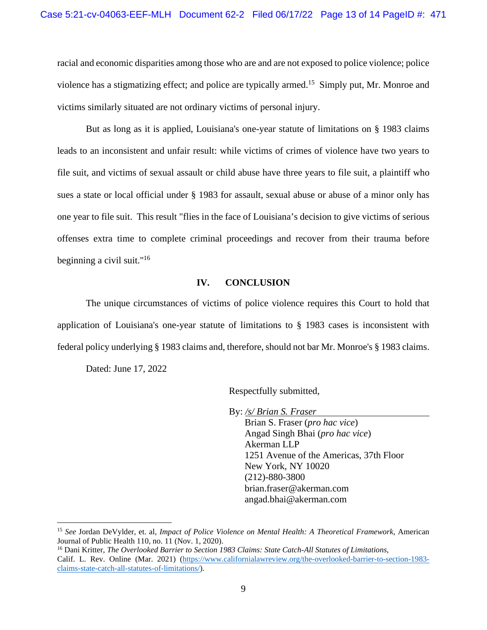racial and economic disparities among those who are and are not exposed to police violence; police violence has a stigmatizing effect; and police are typically armed.<sup>[15](#page-12-1)</sup> Simply put, Mr. Monroe and victims similarly situated are not ordinary victims of personal injury.

But as long as it is applied, Louisiana's one-year statute of limitations on § 1983 claims leads to an inconsistent and unfair result: while victims of crimes of violence have two years to file suit, and victims of sexual assault or child abuse have three years to file suit, a plaintiff who sues a state or local official under § 1983 for assault, sexual abuse or abuse of a minor only has one year to file suit. This result "flies in the face of Louisiana's decision to give victims of serious offenses extra time to complete criminal proceedings and recover from their trauma before beginning a civil suit."[16](#page-12-2)

#### <span id="page-12-0"></span>**IV. CONCLUSION**

The unique circumstances of victims of police violence requires this Court to hold that application of Louisiana's one-year statute of limitations to § 1983 cases is inconsistent with federal policy underlying § 1983 claims and, therefore, should not bar Mr. Monroe's § 1983 claims.

Dated: June 17, 2022

Respectfully submitted,

By: */s/ Brian S. Fraser* 

Brian S. Fraser (*pro hac vice*) Angad Singh Bhai (*pro hac vice*) Akerman LLP 1251 Avenue of the Americas, 37th Floor New York, NY 10020 (212)-880-3800 brian.fraser@akerman.com angad.bhai@akerman.com

<span id="page-12-1"></span><sup>15</sup> *See* Jordan DeVylder, et. al, *Impact of Police Violence on Mental Health: A Theoretical Framework*, American Journal of Public Health 110, no. 11 (Nov. 1, 2020).

<span id="page-12-2"></span><sup>16</sup> Dani Kritter, *The Overlooked Barrier to Section 1983 Claims: State Catch-All Statutes of Limitations*, Calif. L. Rev. Online (Mar. 2021) (https://www.californialawreview.org/the-overlooked-barrier-to-section-1983 claims-state-catch-all-statutes-of-limitations/).